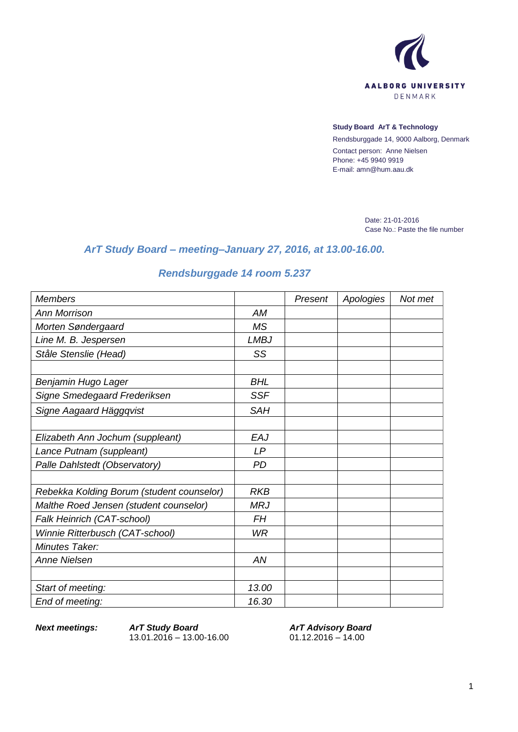

## **Study Board ArT & Technology**

Rendsburggade 14, 9000 Aalborg, Denmark Contact person: Anne Nielsen Phone: +45 9940 9919 E-mail: amn@hum.aau.dk

> Date: 21-01-2016 Case No.: Paste the file number

## *ArT Study Board – meeting–January 27, 2016, at 13.00-16.00.*

## *Rendsburggade 14 room 5.237*

| <b>Members</b>                            |             | Present | Apologies | Not met |
|-------------------------------------------|-------------|---------|-----------|---------|
| <b>Ann Morrison</b>                       | AM          |         |           |         |
| Morten Søndergaard                        | <b>MS</b>   |         |           |         |
| Line M. B. Jespersen                      | <b>LMBJ</b> |         |           |         |
| Ståle Stenslie (Head)                     | SS          |         |           |         |
|                                           |             |         |           |         |
| Benjamin Hugo Lager                       | <b>BHL</b>  |         |           |         |
| Signe Smedegaard Frederiksen              | <b>SSF</b>  |         |           |         |
| Signe Aagaard Häggqvist                   | <b>SAH</b>  |         |           |         |
|                                           |             |         |           |         |
| Elizabeth Ann Jochum (suppleant)          | EAJ         |         |           |         |
| Lance Putnam (suppleant)                  | LP          |         |           |         |
| Palle Dahlstedt (Observatory)             | <b>PD</b>   |         |           |         |
|                                           |             |         |           |         |
| Rebekka Kolding Borum (student counselor) | <b>RKB</b>  |         |           |         |
| Malthe Roed Jensen (student counselor)    | <b>MRJ</b>  |         |           |         |
| Falk Heinrich (CAT-school)                | <b>FH</b>   |         |           |         |
| Winnie Ritterbusch (CAT-school)           | <b>WR</b>   |         |           |         |
| Minutes Taker:                            |             |         |           |         |
| <b>Anne Nielsen</b>                       | AN          |         |           |         |
|                                           |             |         |           |         |
| Start of meeting:                         | 13.00       |         |           |         |
| End of meeting:                           | 16.30       |         |           |         |

*Next meetings: ArT Study Board* 13.01.2016 – 13.00-16.00

*ArT Advisory Board* 01.12.2016 – 14.00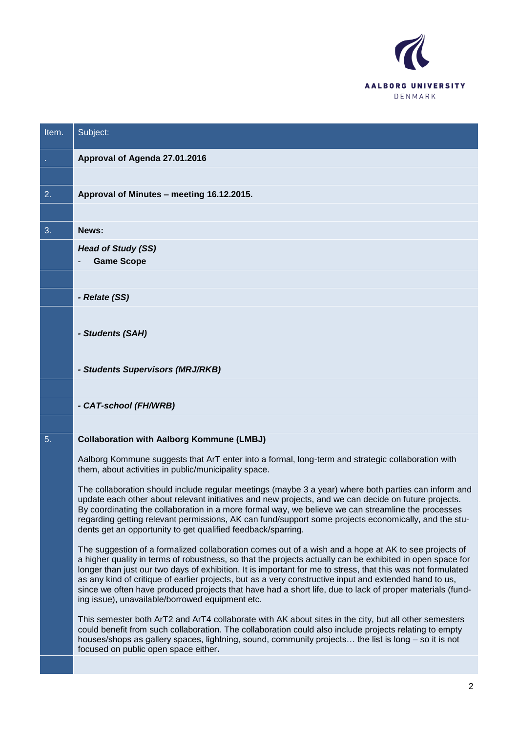

| Item. | Subject:                                                                                                                                                                                                                                                                                                                                                                                                                                                                                                                                                                                                  |
|-------|-----------------------------------------------------------------------------------------------------------------------------------------------------------------------------------------------------------------------------------------------------------------------------------------------------------------------------------------------------------------------------------------------------------------------------------------------------------------------------------------------------------------------------------------------------------------------------------------------------------|
|       | Approval of Agenda 27.01.2016                                                                                                                                                                                                                                                                                                                                                                                                                                                                                                                                                                             |
|       |                                                                                                                                                                                                                                                                                                                                                                                                                                                                                                                                                                                                           |
| 2.    | Approval of Minutes - meeting 16.12.2015.                                                                                                                                                                                                                                                                                                                                                                                                                                                                                                                                                                 |
|       |                                                                                                                                                                                                                                                                                                                                                                                                                                                                                                                                                                                                           |
| 3.    | News:                                                                                                                                                                                                                                                                                                                                                                                                                                                                                                                                                                                                     |
|       | <b>Head of Study (SS)</b><br><b>Game Scope</b>                                                                                                                                                                                                                                                                                                                                                                                                                                                                                                                                                            |
|       |                                                                                                                                                                                                                                                                                                                                                                                                                                                                                                                                                                                                           |
|       | - Relate (SS)                                                                                                                                                                                                                                                                                                                                                                                                                                                                                                                                                                                             |
|       |                                                                                                                                                                                                                                                                                                                                                                                                                                                                                                                                                                                                           |
|       | - Students (SAH)                                                                                                                                                                                                                                                                                                                                                                                                                                                                                                                                                                                          |
|       |                                                                                                                                                                                                                                                                                                                                                                                                                                                                                                                                                                                                           |
|       | - Students Supervisors (MRJ/RKB)                                                                                                                                                                                                                                                                                                                                                                                                                                                                                                                                                                          |
|       |                                                                                                                                                                                                                                                                                                                                                                                                                                                                                                                                                                                                           |
|       | - CAT-school (FH/WRB)                                                                                                                                                                                                                                                                                                                                                                                                                                                                                                                                                                                     |
| 5.    | <b>Collaboration with Aalborg Kommune (LMBJ)</b>                                                                                                                                                                                                                                                                                                                                                                                                                                                                                                                                                          |
|       |                                                                                                                                                                                                                                                                                                                                                                                                                                                                                                                                                                                                           |
|       | Aalborg Kommune suggests that ArT enter into a formal, long-term and strategic collaboration with<br>them, about activities in public/municipality space.                                                                                                                                                                                                                                                                                                                                                                                                                                                 |
|       | The collaboration should include regular meetings (maybe 3 a year) where both parties can inform and<br>update each other about relevant initiatives and new projects, and we can decide on future projects.<br>By coordinating the collaboration in a more formal way, we believe we can streamline the processes<br>regarding getting relevant permissions, AK can fund/support some projects economically, and the stu-<br>dents get an opportunity to get qualified feedback/sparring.                                                                                                                |
|       | The suggestion of a formalized collaboration comes out of a wish and a hope at AK to see projects of<br>a higher quality in terms of robustness, so that the projects actually can be exhibited in open space for<br>longer than just our two days of exhibition. It is important for me to stress, that this was not formulated<br>as any kind of critique of earlier projects, but as a very constructive input and extended hand to us,<br>since we often have produced projects that have had a short life, due to lack of proper materials (fund-<br>ing issue), unavailable/borrowed equipment etc. |
|       | This semester both ArT2 and ArT4 collaborate with AK about sites in the city, but all other semesters<br>could benefit from such collaboration. The collaboration could also include projects relating to empty<br>houses/shops as gallery spaces, lightning, sound, community projects the list is long – so it is not<br>focused on public open space either.                                                                                                                                                                                                                                           |
|       |                                                                                                                                                                                                                                                                                                                                                                                                                                                                                                                                                                                                           |